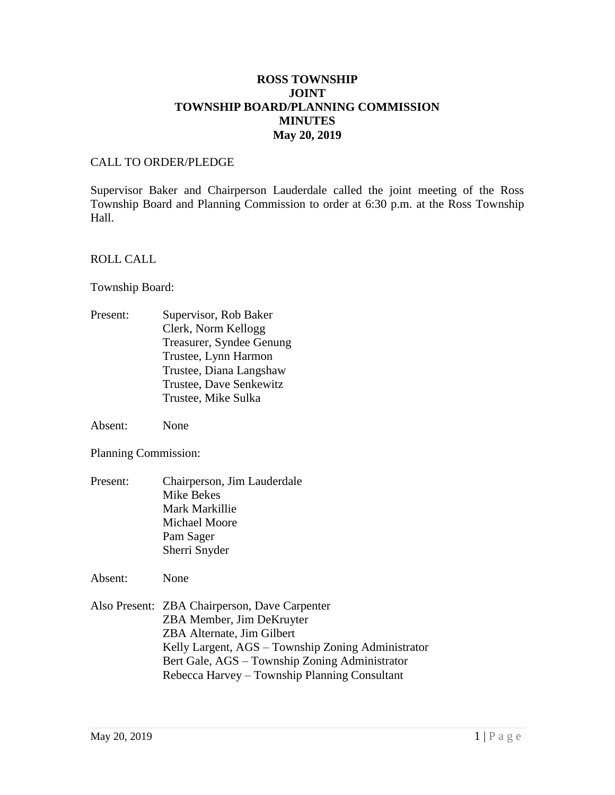#### **ROSS TOWNSHIP JOINT TOWNSHIP BOARD/PLANNING COMMISSION MINUTES May 20, 2019**

#### CALL TO ORDER/PLEDGE

Supervisor Baker and Chairperson Lauderdale called the joint meeting of the Ross Township Board and Planning Commission to order at 6:30 p.m. at the Ross Township Hall.

ROLL CALL

Township Board:

Present: Supervisor, Rob Baker Clerk, Norm Kellogg Treasurer, Syndee Genung Trustee, Lynn Harmon Trustee, Diana Langshaw Trustee, Dave Senkewitz Trustee, Mike Sulka

Absent: None

Planning Commission:

Present: Chairperson, Jim Lauderdale Mike Bekes Mark Markillie Michael Moore Pam Sager Sherri Snyder

Absent: None

Also Present: ZBA Chairperson, Dave Carpenter ZBA Member, Jim DeKruyter ZBA Alternate, Jim Gilbert Kelly Largent, AGS – Township Zoning Administrator Bert Gale, AGS – Township Zoning Administrator Rebecca Harvey – Township Planning Consultant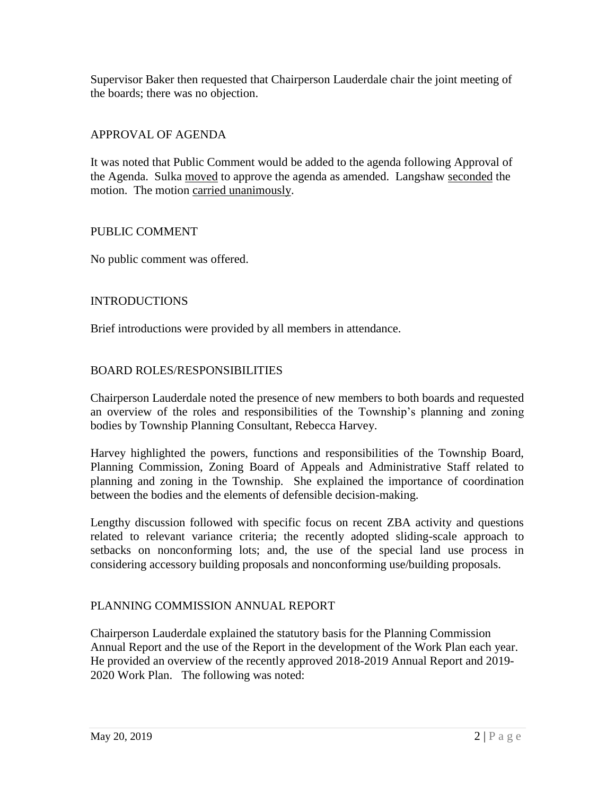Supervisor Baker then requested that Chairperson Lauderdale chair the joint meeting of the boards; there was no objection.

### APPROVAL OF AGENDA

It was noted that Public Comment would be added to the agenda following Approval of the Agenda. Sulka moved to approve the agenda as amended. Langshaw seconded the motion. The motion carried unanimously.

## PUBLIC COMMENT

No public comment was offered.

## INTRODUCTIONS

Brief introductions were provided by all members in attendance.

#### BOARD ROLES/RESPONSIBILITIES

Chairperson Lauderdale noted the presence of new members to both boards and requested an overview of the roles and responsibilities of the Township's planning and zoning bodies by Township Planning Consultant, Rebecca Harvey.

Harvey highlighted the powers, functions and responsibilities of the Township Board, Planning Commission, Zoning Board of Appeals and Administrative Staff related to planning and zoning in the Township. She explained the importance of coordination between the bodies and the elements of defensible decision-making.

Lengthy discussion followed with specific focus on recent ZBA activity and questions related to relevant variance criteria; the recently adopted sliding-scale approach to setbacks on nonconforming lots; and, the use of the special land use process in considering accessory building proposals and nonconforming use/building proposals.

# PLANNING COMMISSION ANNUAL REPORT

Chairperson Lauderdale explained the statutory basis for the Planning Commission Annual Report and the use of the Report in the development of the Work Plan each year. He provided an overview of the recently approved 2018-2019 Annual Report and 2019- 2020 Work Plan. The following was noted: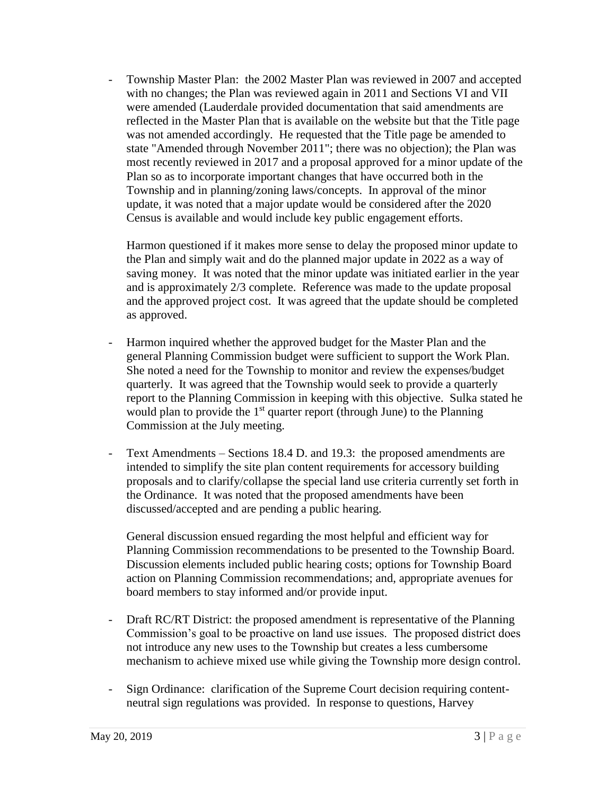- Township Master Plan: the 2002 Master Plan was reviewed in 2007 and accepted with no changes; the Plan was reviewed again in 2011 and Sections VI and VII were amended (Lauderdale provided documentation that said amendments are reflected in the Master Plan that is available on the website but that the Title page was not amended accordingly. He requested that the Title page be amended to state "Amended through November 2011"; there was no objection); the Plan was most recently reviewed in 2017 and a proposal approved for a minor update of the Plan so as to incorporate important changes that have occurred both in the Township and in planning/zoning laws/concepts. In approval of the minor update, it was noted that a major update would be considered after the 2020 Census is available and would include key public engagement efforts.

Harmon questioned if it makes more sense to delay the proposed minor update to the Plan and simply wait and do the planned major update in 2022 as a way of saving money. It was noted that the minor update was initiated earlier in the year and is approximately 2/3 complete. Reference was made to the update proposal and the approved project cost. It was agreed that the update should be completed as approved.

- Harmon inquired whether the approved budget for the Master Plan and the general Planning Commission budget were sufficient to support the Work Plan. She noted a need for the Township to monitor and review the expenses/budget quarterly. It was agreed that the Township would seek to provide a quarterly report to the Planning Commission in keeping with this objective. Sulka stated he would plan to provide the  $1<sup>st</sup>$  quarter report (through June) to the Planning Commission at the July meeting.
- Text Amendments Sections 18.4 D. and 19.3: the proposed amendments are intended to simplify the site plan content requirements for accessory building proposals and to clarify/collapse the special land use criteria currently set forth in the Ordinance. It was noted that the proposed amendments have been discussed/accepted and are pending a public hearing.

General discussion ensued regarding the most helpful and efficient way for Planning Commission recommendations to be presented to the Township Board. Discussion elements included public hearing costs; options for Township Board action on Planning Commission recommendations; and, appropriate avenues for board members to stay informed and/or provide input.

- Draft RC/RT District: the proposed amendment is representative of the Planning Commission's goal to be proactive on land use issues. The proposed district does not introduce any new uses to the Township but creates a less cumbersome mechanism to achieve mixed use while giving the Township more design control.
- Sign Ordinance: clarification of the Supreme Court decision requiring contentneutral sign regulations was provided. In response to questions, Harvey